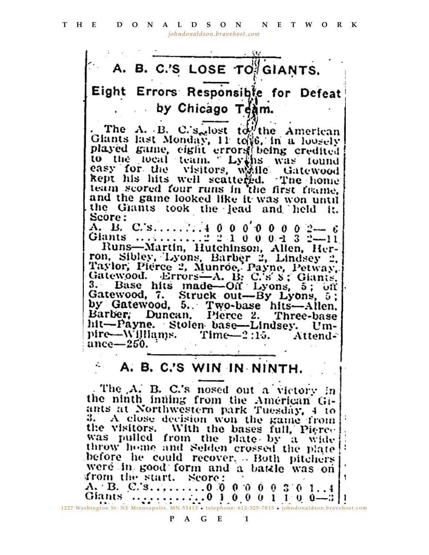

 $A_1$  B. C.'s.........00000000301..4 1227 Washington St. NE Minneapolis, MN 55413 • telephone: 612-325-7815 • [johndonaldson.bravehost.com](http://johndonaldson.bravehost.com)

## **PAGE 1**